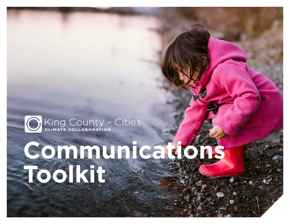# C King County - Cities

King County-Cities Climate Collaboration | Communications Toolkit

# **Communications Toolkit**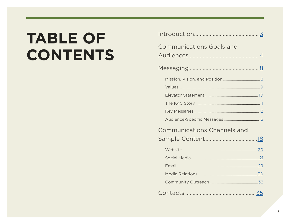# **TABLE OF CONTENTS**

| <b>Communications Goals and</b>    |  |
|------------------------------------|--|
|                                    |  |
|                                    |  |
|                                    |  |
|                                    |  |
|                                    |  |
|                                    |  |
|                                    |  |
|                                    |  |
| <b>Communications Channels and</b> |  |
|                                    |  |
|                                    |  |
|                                    |  |
|                                    |  |
|                                    |  |
|                                    |  |
|                                    |  |
|                                    |  |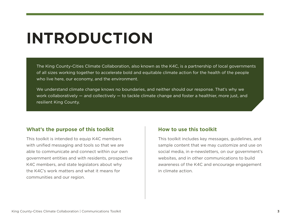# <span id="page-2-0"></span>**INTRODUCTION**

The King County-Cities Climate Collaboration, also known as the K4C, is a partnership of local governments of all sizes working together to accelerate bold and equitable climate action for the health of the people who live here, our economy, and the environment.

We understand climate change knows no boundaries, and neither should our response. That's why we work collaboratively — and collectively — to tackle climate change and foster a healthier, more just, and resilient King County.

# **What's the purpose of this toolkit**

This toolkit is intended to equip K4C members with unified messaging and tools so that we are able to communicate and connect within our own government entities and with residents, prospective K4C members, and state legislators about why the K4C's work matters and what it means for communities and our region.

# **How to use this toolkit**

This toolkit includes key messages, guidelines, and sample content that we may customize and use on social media, in e-newsletters, on our government's websites, and in other communications to build awareness of the K4C and encourage engagement in climate action.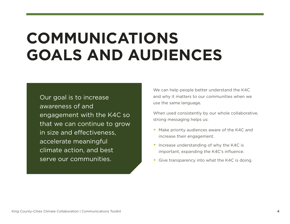# <span id="page-3-0"></span>**COMMUNICATIONS GOALS AND AUDIENCES**

Our goal is to increase awareness of and engagement with the K4C so that we can continue to grow in size and effectiveness, accelerate meaningful climate action, and best serve our communities.

We can help people better understand the K4C and why it matters to our communities when we use the same language.

When used consistently by our whole collaborative, strong messaging helps us:

- Make priority audiences aware of the K4C and increase their engagement.
- Increase understanding of why the K4C is important, expanding the K4C's influence.
- Give transparency into what the K4C is doing.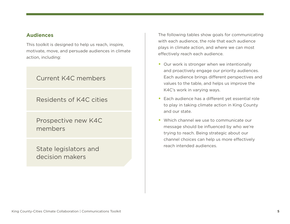# **Audiences**

This toolkit is designed to help us reach, inspire, motivate, move, and persuade audiences in climate action, including:

# Current K4C members

# Residents of K4C cities

Prospective new K4C members

State legislators and decision makers

The following tables show goals for communicating with each audience, the role that each audience plays in climate action, and where we can most effectively reach each audience.

- Our work is stronger when we intentionally and proactively engage our priority audiences. Each audience brings different perspectives and values to the table, and helps us improve the K4C's work in varying ways.
- Each audience has a different yet essential role to play in taking climate action in King County and our state.
- Which channel we use to communicate our message should be influenced by who we're trying to reach. Being strategic about our channel choices can help us more effectively reach intended audiences.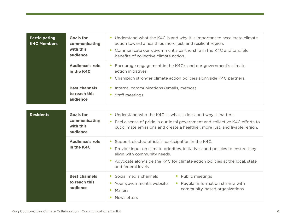| <b>Participating</b><br><b>K4C Members</b> | <b>Goals for</b><br>communicating<br>with this<br>audience | • Understand what the K4C is and why it is important to accelerate climate<br>action toward a healthier, more just, and resilient region.<br>Communicate our government's partnership in the K4C and tangible<br>benefits of collective climate action.                                                           |  |  |
|--------------------------------------------|------------------------------------------------------------|-------------------------------------------------------------------------------------------------------------------------------------------------------------------------------------------------------------------------------------------------------------------------------------------------------------------|--|--|
|                                            | <b>Audience's role</b><br>in the K4C                       | Encourage engagement in the K4C's and our government's climate<br>action initiatives.<br>Champion stronger climate action policies alongside K4C partners.                                                                                                                                                        |  |  |
|                                            | <b>Best channels</b><br>to reach this<br>audience          | Internal communications (emails, memos)<br>$\bullet$<br>Staff meetings<br>$\bullet$                                                                                                                                                                                                                               |  |  |
| <b>Residents</b>                           | <b>Goals for</b><br>communicating<br>with this<br>audience | • Understand who the K4C is, what it does, and why it matters.<br>• Feel a sense of pride in our local government and collective K4C efforts to<br>cut climate emissions and create a healthier, more just, and livable region.                                                                                   |  |  |
|                                            | <b>Audience's role</b><br>in the K4C                       | Support elected officials' participation in the K4C.<br>$\bullet$<br>Provide input on climate priorities, initiatives, and policies to ensure they<br>$\bullet$<br>align with community needs.<br>Advocate alongside the K4C for climate action policies at the local, state,<br>$\bullet$<br>and federal levels. |  |  |
|                                            | <b>Best channels</b><br>to reach this<br>audience          | • Social media channels<br>• Public meetings<br>• Regular information sharing with<br>Your government's website<br>$\bullet$<br>community-based organizations<br>Mailers<br>$\bullet$<br>Newsletters<br>$\bullet$                                                                                                 |  |  |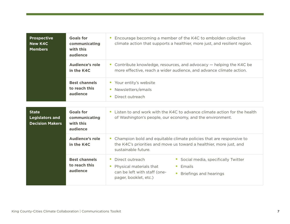| <b>Prospective</b><br><b>New K4C</b><br><b>Members</b>           | <b>Goals for</b><br>communicating<br>with this<br>audience | Encourage becoming a member of the K4C to embolden collective<br>climate action that supports a healthier, more just, and resilient region.                                                                          |  |  |
|------------------------------------------------------------------|------------------------------------------------------------|----------------------------------------------------------------------------------------------------------------------------------------------------------------------------------------------------------------------|--|--|
|                                                                  | <b>Audience's role</b><br>in the K4C                       | Contribute knowledge, resources, and advocacy — helping the K4C be<br>more effective, reach a wider audience, and advance climate action.                                                                            |  |  |
|                                                                  | <b>Best channels</b><br>to reach this<br>audience          | • Your entity's website<br>Newsletters/emails<br>Direct outreach<br>$\bullet$                                                                                                                                        |  |  |
| <b>State</b><br><b>Legislators and</b><br><b>Decision Makers</b> | <b>Goals for</b><br>communicating<br>with this<br>audience | Listen to and work with the K4C to advance climate action for the health<br>of Washington's people, our economy, and the environment.                                                                                |  |  |
|                                                                  | <b>Audience's role</b><br>in the K4C                       | Champion bold and equitable climate policies that are responsive to<br>the K4C's priorities and move us toward a healthier, more just, and<br>sustainable future.                                                    |  |  |
|                                                                  | <b>Best channels</b><br>to reach this<br>audience          | Direct outreach<br>Social media, specifically Twitter<br>$\bullet$<br>$\bullet$<br>Physical materials that<br>Emails<br>$\bullet$<br>can be left with staff (one-<br>Briefings and hearings<br>pager, booklet, etc.) |  |  |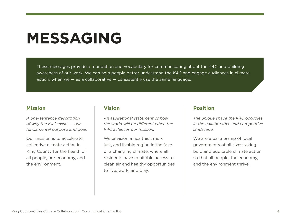# <span id="page-7-0"></span>**MESSAGING**

These messages provide a foundation and vocabulary for communicating about the K4C and building awareness of our work. We can help people better understand the K4C and engage audiences in climate action, when we  $-$  as a collaborative  $-$  consistently use the same language.

# <span id="page-7-1"></span>**Mission**

*A one-sentence description of why the K4C exists — our fundamental purpose and goal.* 

Our mission is to accelerate collective climate action in King County for the health of all people, our economy, and the environment.

# **Vision**

*An aspirational statement of how the world will be different when the K4C achieves our mission.*

We envision a healthier, more just, and livable region in the face of a changing climate, where all residents have equitable access to clean air and healthy opportunities to live, work, and play.

### **Position**

*The unique space the K4C occupies in the collaborative and competitive landscape.*

We are a partnership of local governments of all sizes taking bold and equitable climate action so that all people, the economy, and the environment thrive.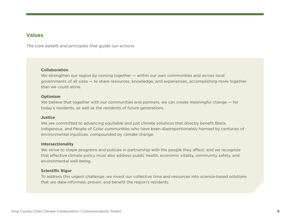### <span id="page-8-0"></span>**Values**

*The core beliefs and principles that guide our actions.* 

#### **Collaboration**

We strengthen our region by coming together — within our own communities and across local governments of all sizes — to share resources, knowledge, and experiences, accomplishing more together than we could alone.

#### **Optimism**

We believe that together with our communities and partners, we can create meaningful change – for today's residents, as well as the residents of future generations.

#### **Justice**

We are committed to advancing equitable and just climate solutions that directly benefit Black, Indigenous, and People of Color communities who have been disproportionately harmed by centuries of environmental injustices, compounded by climate change.

#### **Intersectionality**

We strive to shape programs and policies in partnership with the people they affect, and we recognize that effective climate policy must also address public health, economic vitality, community safety, and environmental well-being.

#### **Scientific Rigor**

To address this urgent challenge, we invest our collective time and resources into science-based solutions that are data-informed, proven, and benefit the region's residents.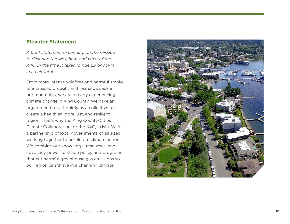### <span id="page-9-0"></span>**Elevator Statement**

*A brief statement expanding on the mission to describe the why, how, and what of the K4C, in the time it takes to ride up or down in an elevator.* 

From more intense wildfires and harmful smoke to increased drought and less snowpack in our mountains, we are already experiencing climate change in King County. We have an urgent need to act boldly as a collective to create a healthier, more just, and resilient region. That's why the King County-Cities Climate Collaboration, or the K4C, exists. We're a partnership of local governments of all sizes working together to accelerate climate action. We combine our knowledge, resources, and advocacy power to shape policy and programs that cut harmful greenhouse gas emissions so our region can thrive in a changing climate.

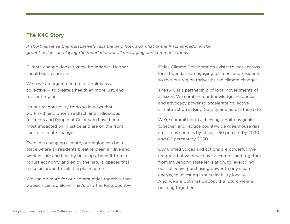# <span id="page-10-0"></span>**The K4C Story**

*A short narrative that persuasively tells the why, how, and what of the K4C, embedding the group's values and laying the foundation for all messaging and communications.* 

Climate change doesn't know boundaries. Neither should our response.

We have an urgent need to act boldly as a collective — to create a healthier, more just, and resilient region.

It's our responsibility to do so in ways that work with and prioritize Black and Indigenous residents and People of Color who have been most impacted by injustice and are on the front lines of climate change.

Even in a changing climate, our region can be a place where all residents breathe clean air, live and work in safe and healthy buildings, benefit from a robust economy, and enjoy the natural spaces that make us proud to call this place home.

We can do more for our communities together than we each can do alone. That's why the King County-

Cities Climate Collaboration exists: to work across local boundaries, engaging partners and residents so that our region thrives as the climate changes.

The K4C is a partnership of local governments of all sizes. We combine our knowledge, resources, and advocacy power to accelerate collective climate action in King County and across the state.

We're committed to achieving ambitious goals together, and reduce countywide greenhouse gas emissions sources by at least 50 percent by 2030, and 80 percent by 2050.

Our unified voices and actions are powerful. We are proud of what we have accomplished together, from influencing state legislation, to leveraging our collective purchasing power to buy clean energy, to investing in sustainability locally. And, we are optimistic about the future we are building together.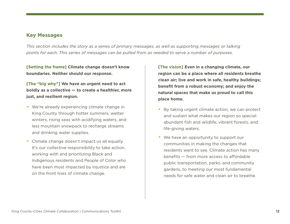# <span id="page-11-0"></span>**Key Messages**

*This section includes the story as a series of primary messages, as well as supporting messages or talking points for each. This series of messages can be pulled from as needed to serve a number of purposes.* 

**[Setting the frame] Climate change doesn't know boundaries. Neither should our response.** 

# **[The "big why"] We have an urgent need to act boldly as a collective — to create a healthier, more just, and resilient region.**

- We're already experiencing climate change in King County through hotter summers, wetter winters, rising seas with acidifying waters, and less mountain snowpack to recharge streams and drinking water supplies.
- Climate change doesn't impact us all equally. It's our collective responsibility to take action, working with and prioritizing Black and Indigenous residents and People of Color who have been most impacted by injustice and are on the front lines of climate change.

**[The vision] Even in a changing climate, our region can be a place where all residents breathe clean air; live and work in safe, healthy buildings; benefit from a robust economy; and enjoy the natural spaces that make us proud to call this place home.**

- By taking urgent climate action, we can protect and sustain what makes our region so special: abundant fish and wildlife, vibrant forests, and life-giving waters.
- We have an opportunity to support our communities in making the changes that residents want to see. Climate action has many benefits — from more access to affordable public transportation, parks, and community gardens, to meeting our most fundamental needs for safe water and clean air to breathe.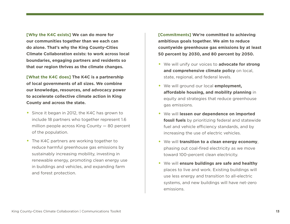**[Why the K4C exists] We can do more for our communities together than we each can do alone. That's why the King County-Cities Climate Collaboration exists: to work across local boundaries, engaging partners and residents so that our region thrives as the climate changes.**

**[What the K4C does] The K4C is a partnership of local governments of all sizes. We combine our knowledge, resources, and advocacy power to accelerate collective climate action in King County and across the state.**

- Since it began in 2012, the K4C has grown to include 18 partners who together represent 1.6 million people across King County — 80 percent of the population.
- The K4C partners are working together to reduce harmful greenhouse gas emissions by sustainably increasing mobility, investing in renewable energy, promoting clean energy use in buildings and vehicles, and expanding farm and forest protection.

**[Commitments] We're committed to achieving ambitious goals together. We aim to reduce countywide greenhouse gas emissions by at least 50 percent by 2030, and 80 percent by 2050.**

- We will unify our voices to **advocate for strong and comprehensive climate policy** on local, state, regional, and federal levels.
- We will ground our local **employment, affordable housing, and mobility planning** in equity and strategies that reduce greenhouse gas emissions.
- We will **lessen our dependence on imported fossil fuels** by prioritizing federal and statewide fuel and vehicle efficiency standards, and by increasing the use of electric vehicles.
- We will **transition to a clean energy economy**, phasing out coal-fired electricity as we move toward 100-percent clean electricity.
- We will **ensure buildings are safe and healthy** places to live and work. Existing buildings will use less energy and transition to all-electric systems, and new buildings will have net-zero emissions.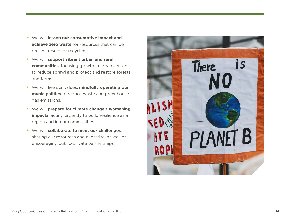- We will **lessen our consumptive impact and achieve zero waste** for resources that can be reused, resold, or recycled.
- We will **support vibrant urban and rural communities**, focusing growth in urban centers to reduce sprawl and protect and restore forests and farms.
- We will live our values, **mindfully operating our municipalities** to reduce waste and greenhouse gas emissions.
- We will **prepare for climate change's worsening impacts**, acting urgently to build resilience as a region and in our communities.
- We will **collaborate to meet our challenges**, sharing our resources and expertise, as well as encouraging public-private partnerships.

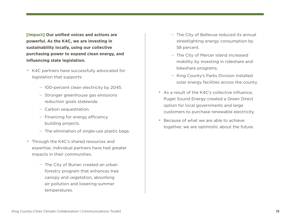**[Impact] Our unified voices and actions are powerful. As the K4C, we are investing in sustainability locally, using our collective purchasing power to expand clean energy, and influencing state legislation.**

- K4C partners have successfully advocated for legislation that supports:
	- 100-percent clean electricity by 2045.
	- Stronger greenhouse gas emissions reduction goals statewide.
	- Carbon sequestration.
	- Financing for energy efficiency building projects.
	- The elimination of single-use plastic bags.
- Through the K4C's shared resources and expertise, individual partners have had greater impacts in their communities.
	- The City of Burien created an urban forestry program that enhances tree canopy and vegetation, absorbing air pollution and lowering summer temperatures.
- The City of Bellevue reduced its annual streetlighting energy consumption by 58 percent.
- The City of Mercer Island increased mobility by investing in rideshare and bikeshare programs.
- King County's Parks Division installed solar energy facilities across the county.
- As a result of the K4C's collective influence, Puget Sound Energy created a Green Direct option for local governments and large customers to purchase renewable electricity.
- Because of what we are able to achieve together, we are optimistic about the future.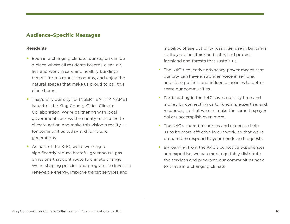# <span id="page-15-0"></span>**Audience-Specific Messages**

#### **Residents**

- Even in a changing climate, our region can be a place where all residents breathe clean air, live and work in safe and healthy buildings, benefit from a robust economy, and enjoy the natural spaces that make us proud to call this place home.
- That's why our city [or INSERT ENTITY NAME] is part of the King County-Cities Climate Collaboration. We're partnering with local governments across the county to accelerate climate action and make this vision a reality  $$ for communities today and for future generations.
- As part of the K4C, we're working to significantly reduce harmful greenhouse gas emissions that contribute to climate change. We're shaping policies and programs to invest in renewable energy, improve transit services and

mobility, phase out dirty fossil fuel use in buildings so they are healthier and safer, and protect farmland and forests that sustain us.

- The K4C's collective advocacy power means that our city can have a stronger voice in regional and state politics, and influence policies to better serve our communities.
- Participating in the K4C saves our city time and money by connecting us to funding, expertise, and resources, so that we can make the same taxpayer dollars accomplish even more.
- The K4C's shared resources and expertise help us to be more effective in our work, so that we're prepared to respond to your needs and requests.
- By learning from the K4C's collective experiences and expertise, we can more equitably distribute the services and programs our communities need to thrive in a changing climate.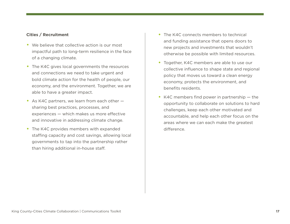#### **Cities / Recruitment**

- We believe that collective action is our most impactful path to long-term resilience in the face of a changing climate.
- The K4C gives local governments the resources and connections we need to take urgent and bold climate action for the health of people, our economy, and the environment. Together, we are able to have a greater impact.
- As K4C partners, we learn from each other sharing best practices, processes, and experiences — which makes us more effective and innovative in addressing climate change.
- The K4C provides members with expanded staffing capacity and cost savings, allowing local governments to tap into the partnership rather than hiring additional in-house staff.
- The K4C connects members to technical and funding assistance that opens doors to new projects and investments that wouldn't otherwise be possible with limited resources.
- Together, K4C members are able to use our collective influence to shape state and regional policy that moves us toward a clean energy economy, protects the environment, and benefits residents.
- K4C members find power in partnership the opportunity to collaborate on solutions to hard challenges, keep each other motivated and accountable, and help each other focus on the areas where we can each make the greatest difference.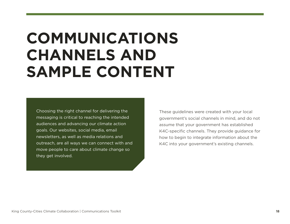# <span id="page-17-0"></span>**COMMUNICATIONS CHANNELS AND SAMPLE CONTENT**

Choosing the right channel for delivering the messaging is critical to reaching the intended audiences and advancing our climate action goals. Our websites, social media, email newsletters, as well as media relations and outreach, are all ways we can connect with and move people to care about climate change so they get involved.

These guidelines were created with your local government's social channels in mind, and do not assume that your government has established K4C-specific channels. They provide guidance for how to begin to integrate information about the K4C into your government's existing channels.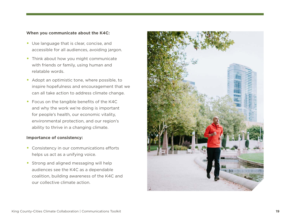#### **When you communicate about the K4C:**

- Use language that is clear, concise, and accessible for all audiences, avoiding jargon.
- Think about how you might communicate with friends or family, using human and relatable words.
- Adopt an optimistic tone, where possible, to inspire hopefulness and encouragement that we can all take action to address climate change.
- Focus on the tangible benefits of the K4C and why the work we're doing is important for people's health, our economic vitality, environmental protection, and our region's ability to thrive in a changing climate.

#### **Importance of consistency:**

- Consistency in our communications efforts helps us act as a unifying voice.
- Strong and aligned messaging will help audiences see the K4C as a dependable coalition, building awareness of the K4C and our collective climate action.

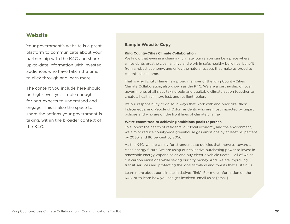## <span id="page-19-0"></span>**Website**

Your government's website is a great platform to communicate about your partnership with the K4C and share up-to-date information with invested audiences who have taken the time to click through and learn more.

The content you include here should be high-level, yet simple enough for non-experts to understand and engage. This is also the space to share the actions your government is taking, within the broader context of the K4C.

#### **Sample Website Copy**

#### **King County-Cities Climate Collaboration**

We know that even in a changing climate, our region can be a place where all residents breathe clean air; live and work in safe, healthy buildings; benefit from a robust economy; and enjoy the natural spaces that make us proud to call this place home.

That is why [Entity Name] is a proud member of the King County-Cities Climate Collaboration, also known as the K4C. We are a partnership of local governments of all sizes taking bold and equitable climate action together to create a healthier, more just, and resilient region.

It's our responsibility to do so in ways that work with and prioritize Black, Indigeneous, and People of Color residents who are most impacted by unjust policies and who are on the front lines of climate change.

#### **We're committed to achieving ambitious goals together.**

To support the health of residents, our local economy, and the environment, we aim to reduce countywide greenhouse gas emissions by at least 50 percent by 2030, and 80 percent by 2050.

As the K4C, we are calling for stronger state policies that move us toward a clean energy future. We are using our collective purchasing power to invest in renewable energy, expand solar, and buy electric vehicle fleets — all of which cut carbon emissions while saving our city money. And, we are improving transit services and protecting the local farmland and forests that sustain us.

Learn more about our climate initiatives [link]. For more information on the K4C, or to learn how you can get involved, email us at [email].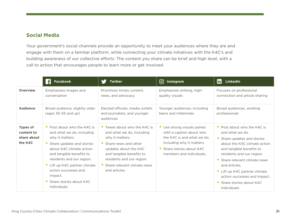# <span id="page-20-0"></span>**Social Media**

Your government's social channels provide an opportunity to meet your audiences where they are and engage with them on a familiar platform, while connecting your climate initiatives with the K4C's and building awareness of our collective efforts. The content you share can be brief and high level, with a call to action that encourages people to learn more or get involved.

|                                                         | Facebook                                                                                                                                                                                                                                                                                                     | <b>Twitter</b>                                                                                                                                                                                                                           | [ට]<br>Instagram                                                                                                                                                          | lin.<br>LinkedIn                                                                                                                                                                                                                                                                                                                 |
|---------------------------------------------------------|--------------------------------------------------------------------------------------------------------------------------------------------------------------------------------------------------------------------------------------------------------------------------------------------------------------|------------------------------------------------------------------------------------------------------------------------------------------------------------------------------------------------------------------------------------------|---------------------------------------------------------------------------------------------------------------------------------------------------------------------------|----------------------------------------------------------------------------------------------------------------------------------------------------------------------------------------------------------------------------------------------------------------------------------------------------------------------------------|
| <b>Overview</b>                                         | Emphasizes images and<br>conversation                                                                                                                                                                                                                                                                        | Prioritizes timely content,<br>news, and advocacy                                                                                                                                                                                        | Emphasizes striking, high-<br>quality visuals                                                                                                                             | Focuses on professional<br>connection and article sharing                                                                                                                                                                                                                                                                        |
| <b>Audience</b>                                         | Broad audience, slightly older<br>(ages $35-55$ and up)                                                                                                                                                                                                                                                      | Elected officials, media outlets<br>and journalists, and younger<br>audiences                                                                                                                                                            | Younger audiences, including<br>teens and millennials                                                                                                                     | Broad audiences, working<br>professionals                                                                                                                                                                                                                                                                                        |
| <b>Types of</b><br>content to<br>share about<br>the K4C | • Post about who the K4C is<br>and what we do, including<br>why it matters.<br>Share updates and stories<br>about K4C climate action<br>and tangible benefits to<br>residents and our region.<br>• Lift up K4C partner climate<br>action successes and<br>impact.<br>Share stories about K4C<br>individuals. | • Tweet about who the K4C is<br>and what we do, including<br>why it matters.<br>• Share news and other<br>updates about the K4C<br>and tangible benefits to<br>residents and our region.<br>Share relevant climate news<br>and articles. | • Use strong visuals paired<br>with a caption about who<br>the K4C is and what we do.<br>including why it matters.<br>Share stories about K4C<br>members and individuals. | • Post about who the K4C is<br>and what we do.<br>Share updates and stories<br>about the K4C climate action<br>and tangible benefits to<br>residents and our region.<br>Share relevant climate news<br>and articles.<br>• Lift up K4C partner climate<br>action successes and impact.<br>Share stories about K4C<br>individuals. |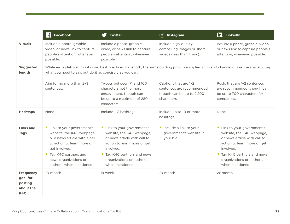|                                                             | Facebook                                                                                                                                                                                                                | <b>Twitter</b>                                                                                                                                                                                                      | [ි<br>Instagram                                                                                 | lin.<br>LinkedIn                                                                                                                                                                                                    |
|-------------------------------------------------------------|-------------------------------------------------------------------------------------------------------------------------------------------------------------------------------------------------------------------------|---------------------------------------------------------------------------------------------------------------------------------------------------------------------------------------------------------------------|-------------------------------------------------------------------------------------------------|---------------------------------------------------------------------------------------------------------------------------------------------------------------------------------------------------------------------|
| <b>Visuals</b>                                              | Include a photo, graphic,<br>video, or news link to capture<br>people's attention, whenever<br>possible.                                                                                                                | Include a photo, graphic,<br>video, or news link to capture<br>people's attention, whenever<br>possible.                                                                                                            | Include high-quality<br>compelling images or short<br>videos (less than 1 min.).                | Include a photo, graphic, video,<br>or news link to capture people's<br>attention, whenever possible.                                                                                                               |
| <b>Suggested</b><br>length                                  | While each platform has its own best practices for length, the same guiding principle applies across all channels: Take the space to say<br>what you need to say, but do it as concisely as you can.                    |                                                                                                                                                                                                                     |                                                                                                 |                                                                                                                                                                                                                     |
|                                                             | Aim for no more than 2-3<br>sentences.                                                                                                                                                                                  | Tweets between 71 and 100<br>characters get the most<br>engagement, though can<br>be up to a maximum of 280<br>characters.                                                                                          | Captions that are 1-2<br>sentences are recommended,<br>though can be up to 2,200<br>characters. | Posts that are 1-2 sentences<br>are recommended, though can<br>be up to 700 characters for<br>companies.                                                                                                            |
| <b>Hashtags</b>                                             | None                                                                                                                                                                                                                    | Include 1-3 hashtags                                                                                                                                                                                                | Include up to 10 or more<br>hashtags                                                            | None                                                                                                                                                                                                                |
| <b>Links and</b><br><b>Tags</b>                             | • Link to your government's<br>website, the K4C webpage,<br>or a news article with a call<br>to action to learn more or<br>get involved.<br>• Tag K4C partners and<br>news organizations or<br>authors, when mentioned. | • Link to your government's<br>website, the K4C webpage,<br>or news article with call to<br>action to learn more or get<br>involved.<br>• Tag K4C partners and news<br>organizations or authors,<br>when mentioned. | • Include a link to your<br>government's website in<br>your bio.                                | • Link to your government's<br>website, the K4C webpage,<br>or news article with call to<br>action to learn more or get<br>involved.<br>• Tag K4C partners and news<br>organizations or authors,<br>when mentioned. |
| <b>Frequency</b><br>goal for<br>posting<br>about the<br>K4C | 2x month                                                                                                                                                                                                                | 1x week                                                                                                                                                                                                             | 2x month                                                                                        | 2x month                                                                                                                                                                                                            |

<u> 1989 - Johann Stein, marwolaethau a bh</u>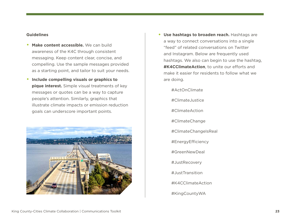#### **Guidelines**

- **Make content accessible.** We can build awareness of the K4C through consistent messaging. Keep content clear, concise, and compelling. Use the sample messages provided as a starting point, and tailor to suit your needs.
- **Include compelling visuals or graphics to pique interest.** Simple visual treatments of key messages or quotes can be a way to capture people's attention. Similarly, graphics that illustrate climate impacts or emission reduction goals can underscore important points.



- **Use hashtags to broaden reach.** Hashtags are a way to connect conversations into a single "feed" of related conversations on Twitter and Instagram. Below are frequently used hashtags. We also can begin to use the hashtag, **#K4CClimateAction**, to unite our efforts and make it easier for residents to follow what we are doing.
	- #ActOnClimate #ClimateJustice #ClimateAction #ClimateChange #ClimateChangeIsReal #EnergyEfficiency #GreenNewDeal #JustRecovery #JustTransition #K4CClimateAction #KingCountyWA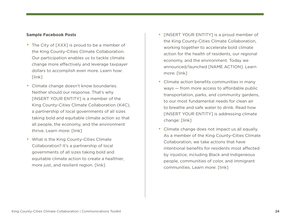#### **Sample Facebook Posts**

- The City of [XXX] is proud to be a member of the King County-Cities Climate Collaboration. Our participation enables us to tackle climate change more effectively and leverage taxpayer dollars to accomplish even more. Learn how: [link]
- Climate change doesn't know boundaries. Neither should our response. That's why [INSERT YOUR ENTITY] is a member of the King County-Cities Climate Collaboration (K4C), a partnership of local governments of all sizes taking bold and equitable climate action so that all people, the economy, and the environment thrive. Learn more: [link]
- What is the King County-Cities Climate Collaboration? It's a partnership of local governments of all sizes taking bold and equitable climate action to create a healthier, more just, and resilient region. [link]
- **[INSERT YOUR ENTITY]** is a proud member of the King County-Cities Climate Collaboration, working together to accelerate bold climate action for the health of residents, our regional economy, and the environment. Today we announced/launched [NAME ACTION]. Learn more: [link]
- Climate action benefits communities in many ways — from more access to affordable public transportation, parks, and community gardens, to our most fundamental needs for clean air to breathe and safe water to drink. Read how [INSERT YOUR ENTITY] is addressing climate change: [link]
- Climate change does not impact us all equally. As a member of the King County-Cities Climate Collaboration, we take actions that have intentional benefits for residents most affected by injustice, including Black and Indigeneous people, communities of color, and immigrant communities. Learn more: [link]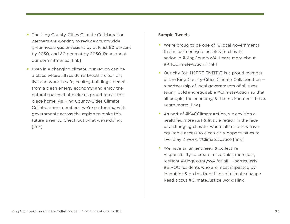- The King County-Cities Climate Collaboration partners are working to reduce countywide greenhouse gas emissions by at least 50 percent by 2030, and 80 percent by 2050. Read about our commitments: [link]
- Even in a changing climate, our region can be a place where all residents breathe clean air; live and work in safe, healthy buildings; benefit from a clean energy economy; and enjoy the natural spaces that make us proud to call this place home. As King County-Cities Climate Collaboration members, we're partnering with governments across the region to make this future a reality. Check out what we're doing: [link]

#### **Sample Tweets**

- We're proud to be one of 18 local governments that is partnering to accelerate climate action in #KingCountyWA. Learn more about #K4CClimateAction: [link]
- Our city [or INSERT ENTITY] is a proud member of the King County-Cities Climate Collaboration a partnership of local governments of all sizes taking bold and equitable #ClimateAction so that all people, the economy, & the environment thrive. Learn more: [link]
- As part of #K4CClimateAction, we envision a healthier, more just & livable region in the face of a changing climate, where all residents have equitable access to clean air & opportunities to live, play & work. #ClimateJustice [link]
- We have an urgent need & collective responsibility to create a healthier, more just, resilient #KingCountyWA for all — particularly #BIPOC residents who are most impacted by inequities & on the front lines of climate change. Read about #ClimateJustice work: [link]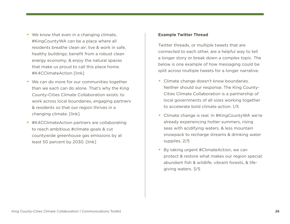- We know that even in a changing climate, #KingCountyWA can be a place where all residents breathe clean air; live & work in safe, healthy buildings; benefit from a robust clean energy economy; & enjoy the natural spaces that make us proud to call this place home. #K4CClimateAction [link]
- We can do more for our communities together than we each can do alone. That's why the King County-Cities Climate Collaboration exists: to work across local boundaries, engaging partners & residents so that our region thrives in a changing climate. [link]
- #K4CClimateAction partners are collaborating to reach ambitious #climate goals & cut countywide greenhouse gas emissions by at least 50 percent by 2030. [link]

#### **Example Twitter Thread**

Twitter threads, or multiple tweets that are connected to each other, are a helpful way to tell a longer story or break down a complex topic. The below is one example of how messaging could be split across multiple tweets for a longer narrative.

- Climate change doesn't know boundaries. Neither should our response. The King County-Cities Climate Collaboration is a partnership of local governments of all sizes working together to accelerate bold climate action. 1/5
- Climate change is real. In #KingCountyWA we're already experiencing hotter summers, rising seas with acidifying waters, & less mountain snowpack to recharge streams & drinking water supplies. 2/5
- By taking urgent #ClimateAction, we can protect & restore what makes our region special: abundant fish & wildlife, vibrant forests, & lifegiving waters. 3/5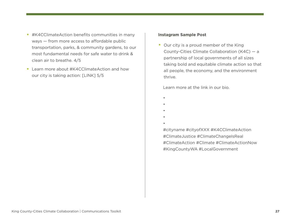- #K4CClimateAction benefits communities in many ways — from more access to affordable public transportation, parks, & community gardens, to our most fundamental needs for safe water to drink & clean air to breathe. 4/5
- Learn more about #K4CClimateAction and how our city is taking action: [LINK] 5/5

#### **Instagram Sample Post**

• Our city is a proud member of the King County-Cities Climate Collaboration (K4C) — a partnership of local governments of all sizes taking bold and equitable climate action so that all people, the economy, and the environment thrive.

Learn more at the link in our bio.

•

•

•

- 
- -
- •

 #cityname #cityofXXX #K4CClimateAction #ClimateJustice #ClimateChangeIsReal #ClimateAction #Climate #ClimateActionNow #KingCountyWA #LocalGovernment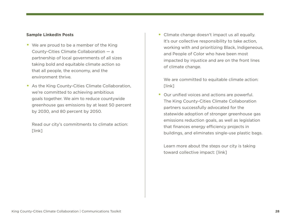#### **Sample LinkedIn Posts**

- We are proud to be a member of the King County-Cities Climate Collaboration — a partnership of local governments of all sizes taking bold and equitable climate action so that all people, the economy, and the environment thrive.
- As the King County-Cities Climate Collaboration, we're committed to achieving ambitious goals together. We aim to reduce countywide greenhouse gas emissions by at least 50 percent by 2030, and 80 percent by 2050.

Read our city's commitments to climate action: [link]

• Climate change doesn't impact us all equally. It's our collective responsibility to take action, working with and prioritizing Black, Indigeneous, and People of Color who have been most impacted by injustice and are on the front lines of climate change.

We are committed to equitable climate action: [link]

• Our unified voices and actions are powerful. The King County-Cities Climate Collaboration partners successfully advocated for the statewide adoption of stronger greenhouse gas emissions reduction goals, as well as legislation that finances energy efficiency projects in buildings, and eliminates single-use plastic bags.

Learn more about the steps our city is taking toward collective impact: [link]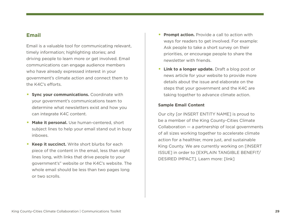# <span id="page-28-0"></span>**Email**

Email is a valuable tool for communicating relevant, timely information; highlighting stories; and driving people to learn more or get involved. Email communications can engage audience members who have already expressed interest in your government's climate action and connect them to the K4C's efforts.

- **Sync your communications.** Coordinate with your government's communications team to determine what newsletters exist and how you can integrate K4C content.
- **Make it personal.** Use human-centered, short subject lines to help your email stand out in busy inboxes.
- **Keep it succinct.** Write short blurbs for each piece of the content in the email, less than eight lines long, with links that drive people to your government's" website or the K4C's website. The whole email should be less than two pages long or two scrolls.
- **Prompt action.** Provide a call to action with ways for readers to get involved. For example: Ask people to take a short survey on their priorities, or encourage people to share the newsletter with friends.
- **Link to a longer update.** Draft a blog post or news article for your website to provide more details about the issue and elaborate on the steps that your government and the K4C are taking together to advance climate action.

#### **Sample Email Content**

Our city [or INSERT ENTITY NAME] is proud to be a member of the King County-Cities Climate Collaboration — a partnership of local governments of all sizes working together to accelerate climate action for a healthier, more just, and sustainable King County. We are currently working on [INSERT ISSUE] in order to [EXPLAIN TANGIBLE BENEFIT/ DESIRED IMPACT]. Learn more: [link]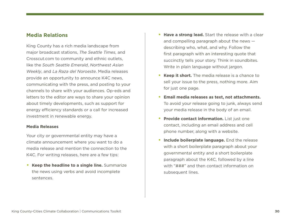### <span id="page-29-0"></span>**Media Relations**

King County has a rich media landscape from major broadcast stations, *The Seattle Times*, and Crosscut.com to community and ethnic outlets, like the *South Seattle Emerald*, *Northwest Asian Weekly*, and *La Raza del Noroeste*. Media releases provide an opportunity to announce K4C news, communicating with the press, and posting to your channels to share with your audiences. Op-eds and letters to the editor are ways to share your opinion about timely developments, such as support for energy efficiency standards or a call for increased investment in renewable energy.

#### **Media Releases**

Your city or governmental entity may have a climate announcement where you want to do a media release and mention the connection to the K4C. For writing releases, here are a few tips:

• **Keep the headline to a single line.** Summarize the news using verbs and avoid incomplete sentences.

- **Have a strong lead.** Start the release with a clear and compelling paragraph about the news describing who, what, and why. Follow the first paragraph with an interesting quote that succinctly tells your story. Think in soundbites. Write in plain language without jargon.
- **Keep it short.** The media release is a chance to sell your issue to the press, nothing more. Aim for just one page.
- **Email media releases as text, not attachments.** To avoid your release going to junk, always send your media release in the body of an email.
- **Provide contact information.** List just one contact, including an email address and cell phone number, along with a website.
- **Include boilerplate language.** End the release with a short boilerplate paragraph about your governmental entity and a short boilerplate paragraph about the K4C, followed by a line with "###" and then contact information on subsequent lines.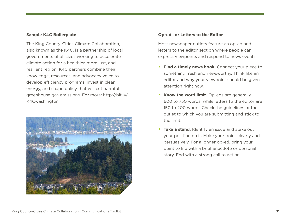#### **Sample K4C Boilerplate**

The King County-Cities Climate Collaboration, also known as the K4C, is a partnership of local governments of all sizes working to accelerate climate action for a healthier, more just, and resilient region. K4C partners combine their knowledge, resources, and advocacy voice to develop efficiency programs, invest in clean energy, and shape policy that will cut harmful greenhouse gas emissions. For more: http://bit.ly/ K4Cwashington



#### **Op-eds or Letters to the Editor**

Most newspaper outlets feature an op-ed and letters to the editor section where people can express viewpoints and respond to news events.

- **Find a timely news hook.** Connect your piece to something fresh and newsworthy. Think like an editor and why your viewpoint should be given attention right now.
- **Know the word limit.** Op-eds are generally 600 to 750 words, while letters to the editor are 150 to 200 words. Check the guidelines of the outlet to which you are submitting and stick to the limit.
- **Take a stand.** Identify an issue and stake out your position on it. Make your point clearly and persuasively. For a longer op-ed, bring your point to life with a brief anecdote or personal story. End with a strong call to action.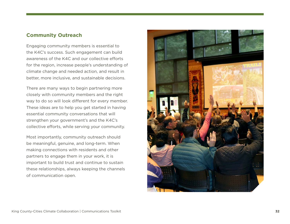# <span id="page-31-0"></span>**Community Outreach**

Engaging community members is essential to the K4C's success. Such engagement can build awareness of the K4C and our collective efforts for the region, increase people's understanding of climate change and needed action, and result in better, more inclusive, and sustainable decisions.

There are many ways to begin partnering more closely with community members and the right way to do so will look different for every member. These ideas are to help you get started in having essential community conversations that will strengthen your government's and the K4C's collective efforts, while serving your community.

Most importantly, community outreach should be meaningful, genuine, and long-term. When making connections with residents and other partners to engage them in your work, it is important to build trust and continue to sustain these relationships, always keeping the channels of communication open.

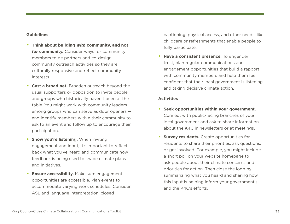#### **Guidelines**

- **Think about building** *with* **community, and not**  *for* **community.** Consider ways for community members to be partners and co-design community outreach activities so they are culturally responsive and reflect community interests.
- **Cast a broad net.** Broaden outreach beyond the usual supporters or opposition to invite people and groups who historically haven't been at the table. You might work with community leaders among groups who can serve as door openers and identify members within their community to ask to an event and follow up to encourage their participation.
- **Show you're listening.** When inviting engagement and input, it's important to reflect back what you've heard and communicate how feedback is being used to shape climate plans and initiatives.
- **Ensure accessibility.** Make sure engagement opportunities are accessible. Plan events to accommodate varying work schedules. Consider ASL and language interpretation, closed

captioning, physical access, and other needs, like childcare or refreshments that enable people to fully participate.

• **Have a consistent presence.** To engender trust, plan regular communications and engagement opportunities that build a rapport with community members and help them feel confident that their local government is listening and taking decisive climate action.

#### **Activities**

- **Seek opportunities within your government.** Connect with public-facing branches of your local government and ask to share information about the K4C in newsletters or at meetings.
- **Survey residents.** Create opportunities for residents to share their priorities, ask questions, or get involved. For example, you might include a short poll on your website homepage to ask people about their climate concerns and priorities for action. Then close the loop by summarizing what you heard and sharing how this input is helping inform your government's and the K4C's efforts.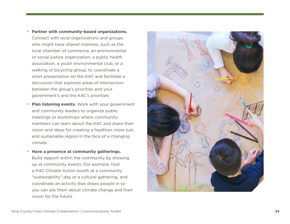Connect with local organizations and groups who might have shared interests, such as the local chamber of commerce, an environmental or social justice organization, a public health association, a youth environmental club, or a walking or bicycling group, to coordinate a short presentation on the K4C and facilitate a discussion that explores areas of intersection between the group's priorities and your government's and the K4C's priorities.

- **Plan listening events.** Work with your government and community leaders to organize public meetings or workshops where community members can learn about the K4C and share their vision and ideas for creating a healthier, more just, and sustainable region in the face of a changing climate.
- **Have a presence at community gatherings.**  Build rapport within the community by showing up at community events. For example, host a K4C Climate Action booth at a community "sustainability" day or a cultural gathering, and coordinate an activity that draws people in so you can ask them about climate change and their vision for the future.